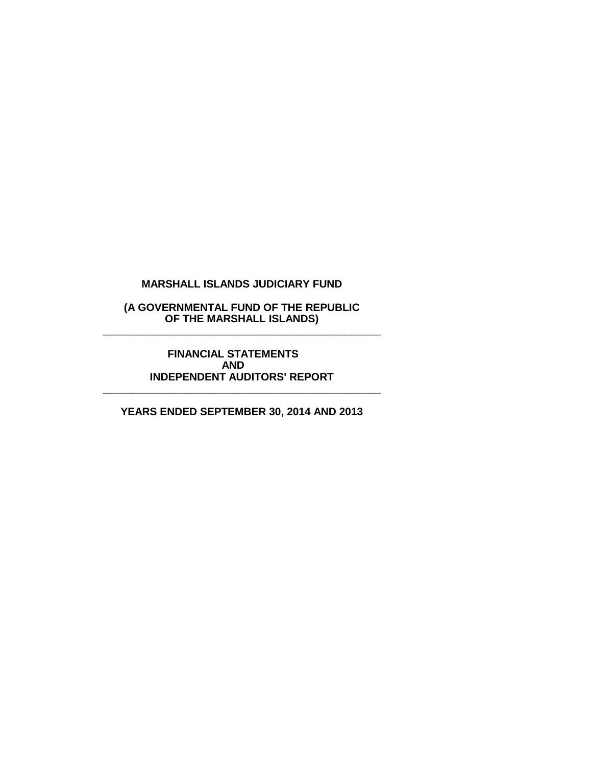## **(A GOVERNMENTAL FUND OF THE REPUBLIC OF THE MARSHALL ISLANDS) \_\_\_\_\_\_\_\_\_\_\_\_\_\_\_\_\_\_\_\_\_\_\_\_\_\_\_\_\_\_\_\_\_\_\_\_\_\_\_\_\_\_\_\_\_\_\_**

#### **FINANCIAL STATEMENTS AND INDEPENDENT AUDITORS' REPORT**

**\_\_\_\_\_\_\_\_\_\_\_\_\_\_\_\_\_\_\_\_\_\_\_\_\_\_\_\_\_\_\_\_\_\_\_\_\_\_\_\_\_\_\_\_\_\_\_**

## **YEARS ENDED SEPTEMBER 30, 2014 AND 2013**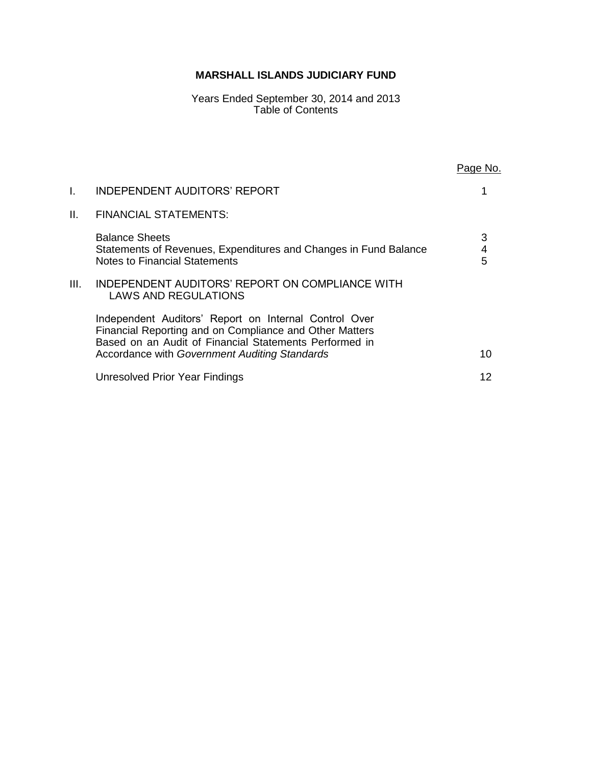Years Ended September 30, 2014 and 2013 Table of Contents

|     |                                                                                                                                                                                                                             | <u>Page No.</u> |
|-----|-----------------------------------------------------------------------------------------------------------------------------------------------------------------------------------------------------------------------------|-----------------|
| I.  | INDEPENDENT AUDITORS' REPORT                                                                                                                                                                                                |                 |
| II. | <b>FINANCIAL STATEMENTS:</b>                                                                                                                                                                                                |                 |
|     | <b>Balance Sheets</b><br>Statements of Revenues, Expenditures and Changes in Fund Balance<br><b>Notes to Financial Statements</b>                                                                                           | 3<br>4<br>5     |
| Ш.  | INDEPENDENT AUDITORS' REPORT ON COMPLIANCE WITH<br>LAWS AND REGULATIONS                                                                                                                                                     |                 |
|     | Independent Auditors' Report on Internal Control Over<br>Financial Reporting and on Compliance and Other Matters<br>Based on an Audit of Financial Statements Performed in<br>Accordance with Government Auditing Standards | 10              |
|     | Unresolved Prior Year Findings                                                                                                                                                                                              | 12              |
|     |                                                                                                                                                                                                                             |                 |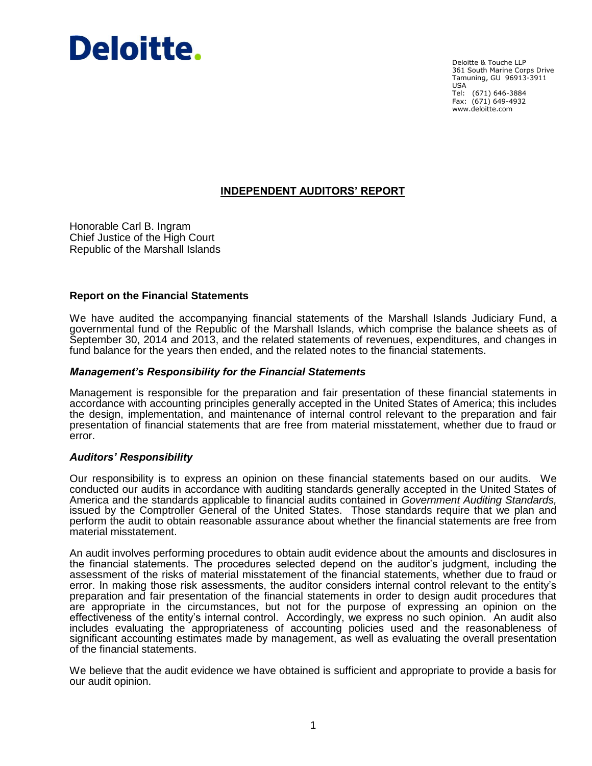# Deloitte.

Deloitte & Touche LLP 361 South Marine Corps Drive Tamuning, GU 96913-3911 USA Tel: (671) 646-3884 Fax: (671) 649-4932 www.deloitte.com

# **INDEPENDENT AUDITORS' REPORT**

Honorable Carl B. Ingram Chief Justice of the High Court Republic of the Marshall Islands

## **Report on the Financial Statements**

We have audited the accompanying financial statements of the Marshall Islands Judiciary Fund, a governmental fund of the Republic of the Marshall Islands, which comprise the balance sheets as of September 30, 2014 and 2013, and the related statements of revenues, expenditures, and changes in fund balance for the years then ended, and the related notes to the financial statements.

## *Management's Responsibility for the Financial Statements*

Management is responsible for the preparation and fair presentation of these financial statements in accordance with accounting principles generally accepted in the United States of America; this includes the design, implementation, and maintenance of internal control relevant to the preparation and fair presentation of financial statements that are free from material misstatement, whether due to fraud or error.

## *Auditors' Responsibility*

Our responsibility is to express an opinion on these financial statements based on our audits. We conducted our audits in accordance with auditing standards generally accepted in the United States of America and the standards applicable to financial audits contained in *Government Auditing Standards,* issued by the Comptroller General of the United States. Those standards require that we plan and perform the audit to obtain reasonable assurance about whether the financial statements are free from material misstatement.

An audit involves performing procedures to obtain audit evidence about the amounts and disclosures in the financial statements. The procedures selected depend on the auditor's judgment, including the assessment of the risks of material misstatement of the financial statements, whether due to fraud or error. In making those risk assessments, the auditor considers internal control relevant to the entity's preparation and fair presentation of the financial statements in order to design audit procedures that are appropriate in the circumstances, but not for the purpose of expressing an opinion on the effectiveness of the entity's internal control. Accordingly, we express no such opinion. An audit also includes evaluating the appropriateness of accounting policies used and the reasonableness of significant accounting estimates made by management, as well as evaluating the overall presentation of the financial statements.

We believe that the audit evidence we have obtained is sufficient and appropriate to provide a basis for our audit opinion.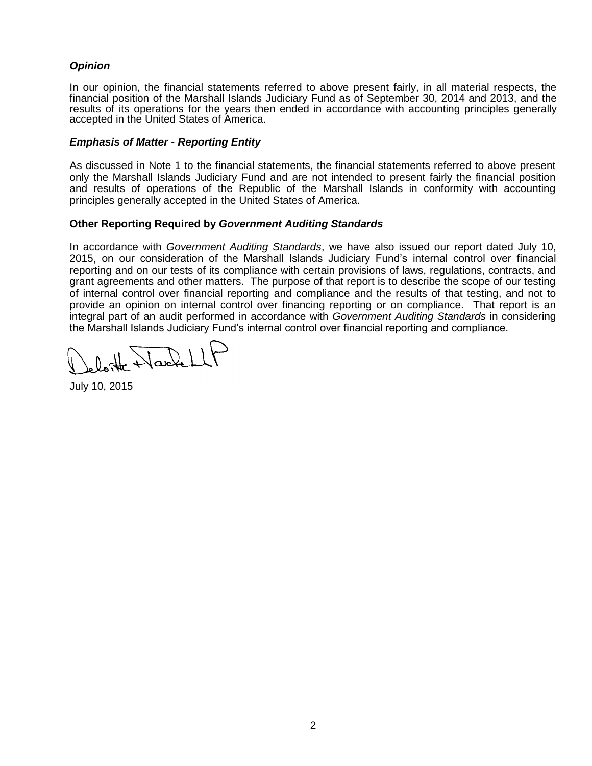# *Opinion*

In our opinion, the financial statements referred to above present fairly, in all material respects, the financial position of the Marshall Islands Judiciary Fund as of September 30, 2014 and 2013, and the results of its operations for the years then ended in accordance with accounting principles generally accepted in the United States of America.

# *Emphasis of Matter - Reporting Entity*

As discussed in Note 1 to the financial statements, the financial statements referred to above present only the Marshall Islands Judiciary Fund and are not intended to present fairly the financial position and results of operations of the Republic of the Marshall Islands in conformity with accounting principles generally accepted in the United States of America.

## **Other Reporting Required by** *Government Auditing Standards*

In accordance with *Government Auditing Standards*, we have also issued our report dated July 10, 2015, on our consideration of the Marshall Islands Judiciary Fund's internal control over financial reporting and on our tests of its compliance with certain provisions of laws, regulations, contracts, and grant agreements and other matters. The purpose of that report is to describe the scope of our testing of internal control over financial reporting and compliance and the results of that testing, and not to provide an opinion on internal control over financing reporting or on compliance. That report is an integral part of an audit performed in accordance with *Government Auditing Standards* in considering the Marshall Islands Judiciary Fund's internal control over financial reporting and compliance.

loite Harlett

July 10, 2015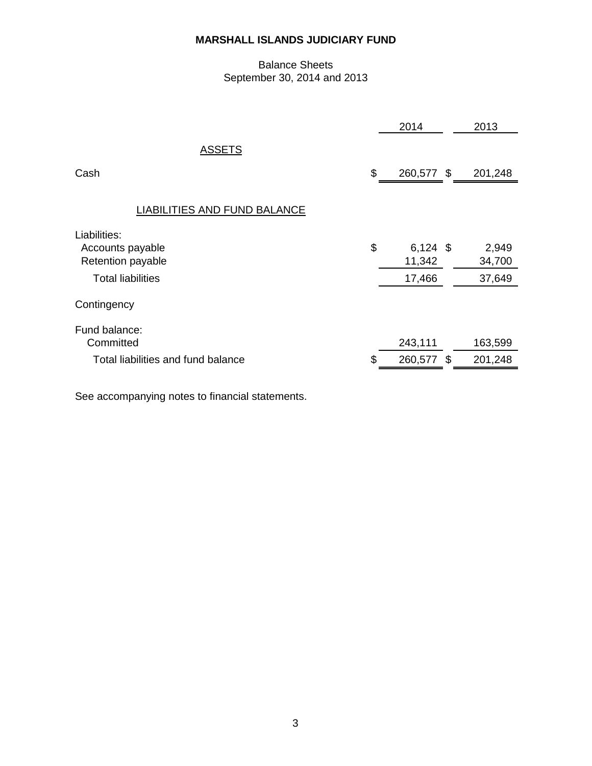# Balance Sheets September 30, 2014 and 2013

|                                                       | 2014                       | 2013            |
|-------------------------------------------------------|----------------------------|-----------------|
| <b>ASSETS</b>                                         |                            |                 |
| Cash                                                  | \$<br>260,577 \$           | 201,248         |
| <b>LIABILITIES AND FUND BALANCE</b>                   |                            |                 |
| Liabilities:<br>Accounts payable<br>Retention payable | \$<br>$6,124$ \$<br>11,342 | 2,949<br>34,700 |
| <b>Total liabilities</b>                              | 17,466                     | 37,649          |
| Contingency                                           |                            |                 |
| Fund balance:<br>Committed                            | 243,111                    | 163,599         |
| Total liabilities and fund balance                    | \$<br>260,577 \$           | 201,248         |

See accompanying notes to financial statements.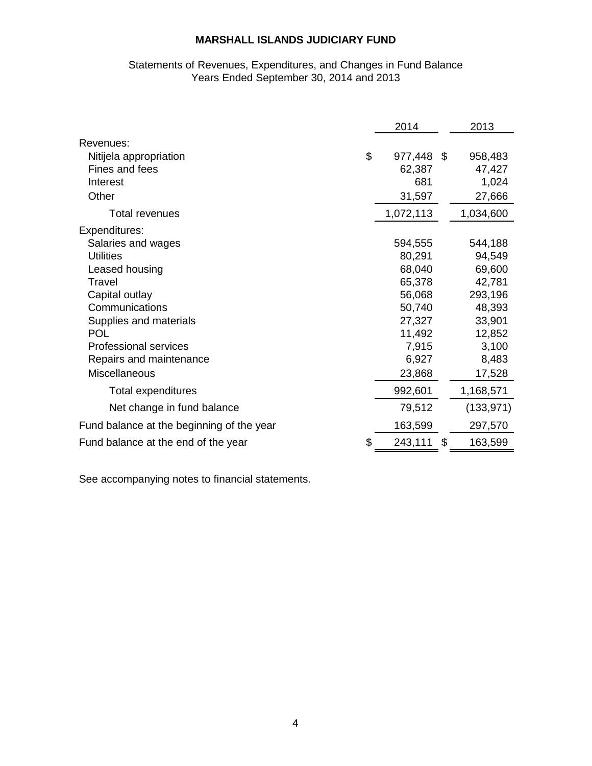## Statements of Revenues, Expenditures, and Changes in Fund Balance Years Ended September 30, 2014 and 2013

|                                           | 2014          |    | 2013       |
|-------------------------------------------|---------------|----|------------|
| Revenues:                                 |               |    |            |
| Nitijela appropriation                    | \$<br>977,448 | \$ | 958,483    |
| Fines and fees                            | 62,387        |    | 47,427     |
| Interest                                  | 681           |    | 1,024      |
| Other                                     | 31,597        |    | 27,666     |
| <b>Total revenues</b>                     | 1,072,113     |    | 1,034,600  |
| Expenditures:                             |               |    |            |
| Salaries and wages                        | 594,555       |    | 544,188    |
| <b>Utilities</b>                          | 80,291        |    | 94,549     |
| Leased housing                            | 68,040        |    | 69,600     |
| Travel                                    | 65,378        |    | 42,781     |
| Capital outlay                            | 56,068        |    | 293,196    |
| Communications                            | 50,740        |    | 48,393     |
| Supplies and materials                    | 27,327        |    | 33,901     |
| <b>POL</b>                                | 11,492        |    | 12,852     |
| <b>Professional services</b>              | 7,915         |    | 3,100      |
| Repairs and maintenance                   | 6,927         |    | 8,483      |
| Miscellaneous                             | 23,868        |    | 17,528     |
| Total expenditures                        | 992,601       |    | 1,168,571  |
| Net change in fund balance                | 79,512        |    | (133, 971) |
| Fund balance at the beginning of the year | 163,599       |    | 297,570    |
| Fund balance at the end of the year       | \$<br>243,111 | S  | 163,599    |

See accompanying notes to financial statements.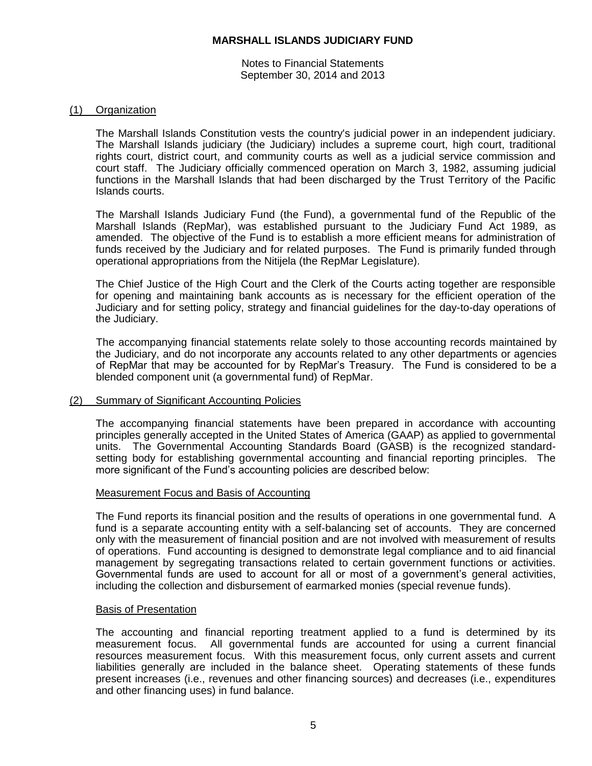Notes to Financial Statements September 30, 2014 and 2013

#### (1) Organization

The Marshall Islands Constitution vests the country's judicial power in an independent judiciary. The Marshall Islands judiciary (the Judiciary) includes a supreme court, high court, traditional rights court, district court, and community courts as well as a judicial service commission and court staff. The Judiciary officially commenced operation on March 3, 1982, assuming judicial functions in the Marshall Islands that had been discharged by the Trust Territory of the Pacific Islands courts.

The Marshall Islands Judiciary Fund (the Fund), a governmental fund of the Republic of the Marshall Islands (RepMar), was established pursuant to the Judiciary Fund Act 1989, as amended. The objective of the Fund is to establish a more efficient means for administration of funds received by the Judiciary and for related purposes. The Fund is primarily funded through operational appropriations from the Nitijela (the RepMar Legislature).

The Chief Justice of the High Court and the Clerk of the Courts acting together are responsible for opening and maintaining bank accounts as is necessary for the efficient operation of the Judiciary and for setting policy, strategy and financial guidelines for the day-to-day operations of the Judiciary.

The accompanying financial statements relate solely to those accounting records maintained by the Judiciary, and do not incorporate any accounts related to any other departments or agencies of RepMar that may be accounted for by RepMar's Treasury. The Fund is considered to be a blended component unit (a governmental fund) of RepMar.

#### (2) Summary of Significant Accounting Policies

The accompanying financial statements have been prepared in accordance with accounting principles generally accepted in the United States of America (GAAP) as applied to governmental units. The Governmental Accounting Standards Board (GASB) is the recognized standardsetting body for establishing governmental accounting and financial reporting principles. The more significant of the Fund's accounting policies are described below:

#### Measurement Focus and Basis of Accounting

The Fund reports its financial position and the results of operations in one governmental fund. A fund is a separate accounting entity with a self-balancing set of accounts. They are concerned only with the measurement of financial position and are not involved with measurement of results of operations. Fund accounting is designed to demonstrate legal compliance and to aid financial management by segregating transactions related to certain government functions or activities. Governmental funds are used to account for all or most of a government's general activities, including the collection and disbursement of earmarked monies (special revenue funds).

#### Basis of Presentation

The accounting and financial reporting treatment applied to a fund is determined by its measurement focus. All governmental funds are accounted for using a current financial resources measurement focus. With this measurement focus, only current assets and current liabilities generally are included in the balance sheet. Operating statements of these funds present increases (i.e., revenues and other financing sources) and decreases (i.e., expenditures and other financing uses) in fund balance.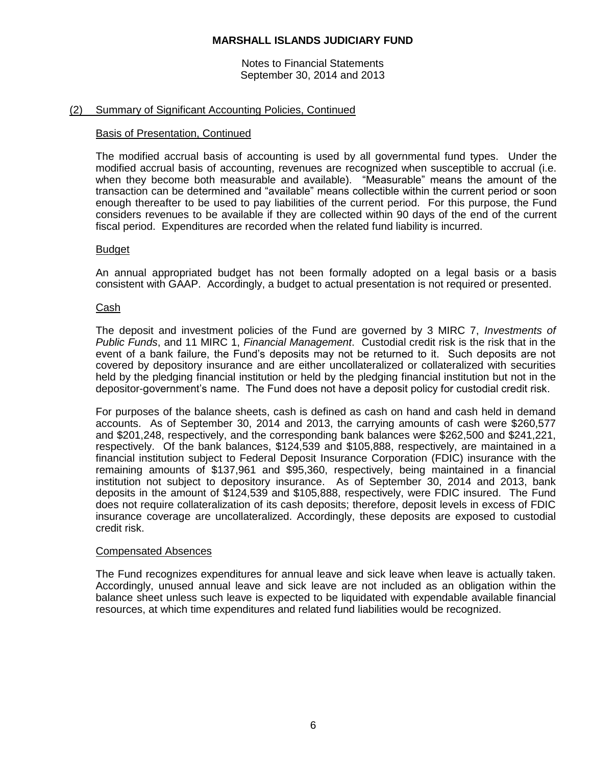Notes to Financial Statements September 30, 2014 and 2013

## (2) Summary of Significant Accounting Policies, Continued

#### Basis of Presentation, Continued

The modified accrual basis of accounting is used by all governmental fund types. Under the modified accrual basis of accounting, revenues are recognized when susceptible to accrual (i.e. when they become both measurable and available). "Measurable" means the amount of the transaction can be determined and "available" means collectible within the current period or soon enough thereafter to be used to pay liabilities of the current period. For this purpose, the Fund considers revenues to be available if they are collected within 90 days of the end of the current fiscal period. Expenditures are recorded when the related fund liability is incurred.

## Budget

An annual appropriated budget has not been formally adopted on a legal basis or a basis consistent with GAAP. Accordingly, a budget to actual presentation is not required or presented.

## Cash

The deposit and investment policies of the Fund are governed by 3 MIRC 7, *Investments of Public Funds*, and 11 MIRC 1, *Financial Management*. Custodial credit risk is the risk that in the event of a bank failure, the Fund's deposits may not be returned to it. Such deposits are not covered by depository insurance and are either uncollateralized or collateralized with securities held by the pledging financial institution or held by the pledging financial institution but not in the depositor-government's name. The Fund does not have a deposit policy for custodial credit risk.

For purposes of the balance sheets, cash is defined as cash on hand and cash held in demand accounts. As of September 30, 2014 and 2013, the carrying amounts of cash were \$260,577 and \$201,248, respectively, and the corresponding bank balances were \$262,500 and \$241,221, respectively. Of the bank balances, \$124,539 and \$105,888, respectively, are maintained in a financial institution subject to Federal Deposit Insurance Corporation (FDIC) insurance with the remaining amounts of \$137,961 and \$95,360, respectively, being maintained in a financial institution not subject to depository insurance. As of September 30, 2014 and 2013, bank deposits in the amount of \$124,539 and \$105,888, respectively, were FDIC insured. The Fund does not require collateralization of its cash deposits; therefore, deposit levels in excess of FDIC insurance coverage are uncollateralized. Accordingly, these deposits are exposed to custodial credit risk.

#### Compensated Absences

The Fund recognizes expenditures for annual leave and sick leave when leave is actually taken. Accordingly, unused annual leave and sick leave are not included as an obligation within the balance sheet unless such leave is expected to be liquidated with expendable available financial resources, at which time expenditures and related fund liabilities would be recognized.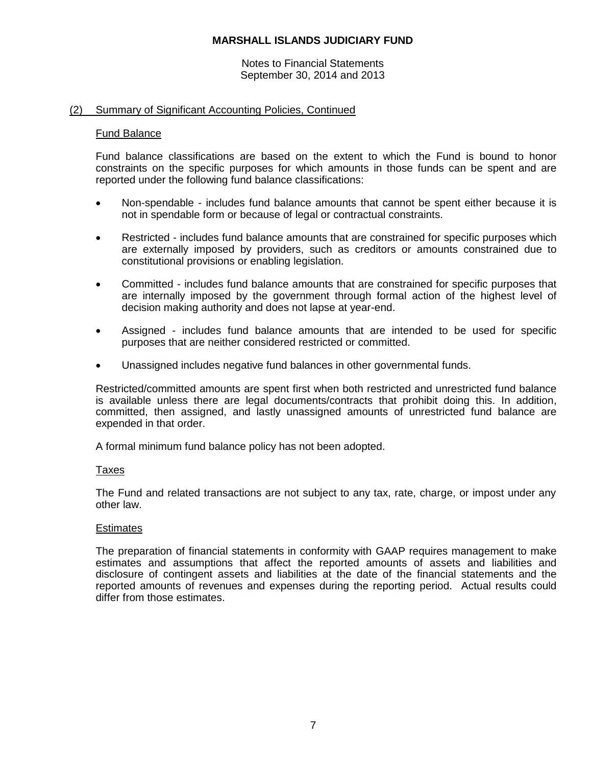Notes to Financial Statements September 30, 2014 and 2013

## (2) Summary of Significant Accounting Policies, Continued

#### Fund Balance

Fund balance classifications are based on the extent to which the Fund is bound to honor constraints on the specific purposes for which amounts in those funds can be spent and are reported under the following fund balance classifications:

- Non-spendable includes fund balance amounts that cannot be spent either because it is not in spendable form or because of legal or contractual constraints.
- Restricted includes fund balance amounts that are constrained for specific purposes which are externally imposed by providers, such as creditors or amounts constrained due to constitutional provisions or enabling legislation.
- Committed includes fund balance amounts that are constrained for specific purposes that are internally imposed by the government through formal action of the highest level of decision making authority and does not lapse at year-end.
- Assigned includes fund balance amounts that are intended to be used for specific purposes that are neither considered restricted or committed.
- Unassigned includes negative fund balances in other governmental funds.

Restricted/committed amounts are spent first when both restricted and unrestricted fund balance is available unless there are legal documents/contracts that prohibit doing this. In addition, committed, then assigned, and lastly unassigned amounts of unrestricted fund balance are expended in that order.

A formal minimum fund balance policy has not been adopted.

## Taxes

The Fund and related transactions are not subject to any tax, rate, charge, or impost under any other law.

## **Estimates**

The preparation of financial statements in conformity with GAAP requires management to make estimates and assumptions that affect the reported amounts of assets and liabilities and disclosure of contingent assets and liabilities at the date of the financial statements and the reported amounts of revenues and expenses during the reporting period. Actual results could differ from those estimates.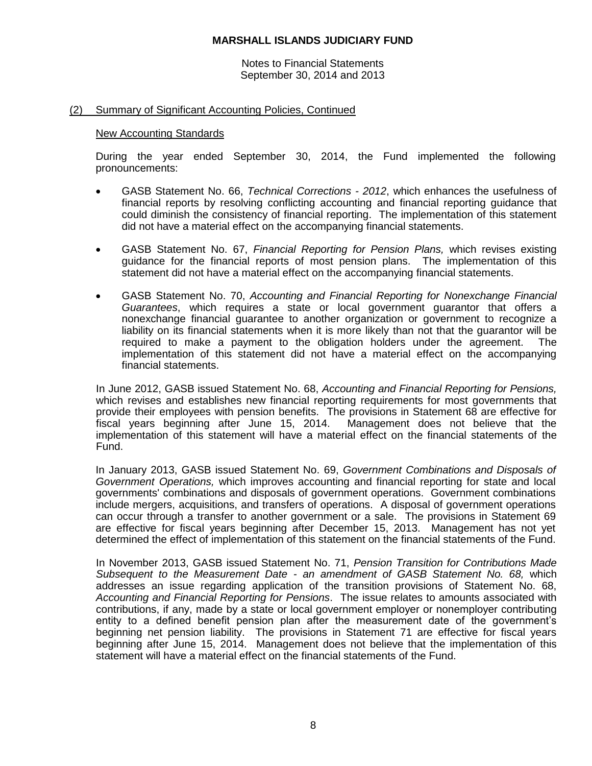Notes to Financial Statements September 30, 2014 and 2013

## (2) Summary of Significant Accounting Policies, Continued

#### New Accounting Standards

During the year ended September 30, 2014, the Fund implemented the following pronouncements:

- GASB Statement No. 66, *Technical Corrections - 2012*, which enhances the usefulness of financial reports by resolving conflicting accounting and financial reporting guidance that could diminish the consistency of financial reporting. The implementation of this statement did not have a material effect on the accompanying financial statements.
- GASB Statement No. 67, *Financial Reporting for Pension Plans,* which revises existing guidance for the financial reports of most pension plans. The implementation of this statement did not have a material effect on the accompanying financial statements.
- GASB Statement No. 70, *Accounting and Financial Reporting for Nonexchange Financial Guarantees*, which requires a state or local government guarantor that offers a nonexchange financial guarantee to another organization or government to recognize a liability on its financial statements when it is more likely than not that the guarantor will be required to make a payment to the obligation holders under the agreement. The implementation of this statement did not have a material effect on the accompanying financial statements.

In June 2012, GASB issued Statement No. 68, *Accounting and Financial Reporting for Pensions,*  which revises and establishes new financial reporting requirements for most governments that provide their employees with pension benefits. The provisions in Statement 68 are effective for fiscal years beginning after June 15, 2014. Management does not believe that the implementation of this statement will have a material effect on the financial statements of the Fund.

In January 2013, GASB issued Statement No. 69, *Government Combinations and Disposals of Government Operations,* which improves accounting and financial reporting for state and local governments' combinations and disposals of government operations. Government combinations include mergers, acquisitions, and transfers of operations. A disposal of government operations can occur through a transfer to another government or a sale. The provisions in Statement 69 are effective for fiscal years beginning after December 15, 2013. Management has not yet determined the effect of implementation of this statement on the financial statements of the Fund.

In November 2013, GASB issued Statement No. 71, *Pension Transition for Contributions Made Subsequent to the Measurement Date - an amendment of GASB Statement No. 68,* which addresses an issue regarding application of the transition provisions of Statement No. 68, *Accounting and Financial Reporting for Pensions*. The issue relates to amounts associated with contributions, if any, made by a state or local government employer or nonemployer contributing entity to a defined benefit pension plan after the measurement date of the government's beginning net pension liability. The provisions in Statement 71 are effective for fiscal years beginning after June 15, 2014. Management does not believe that the implementation of this statement will have a material effect on the financial statements of the Fund.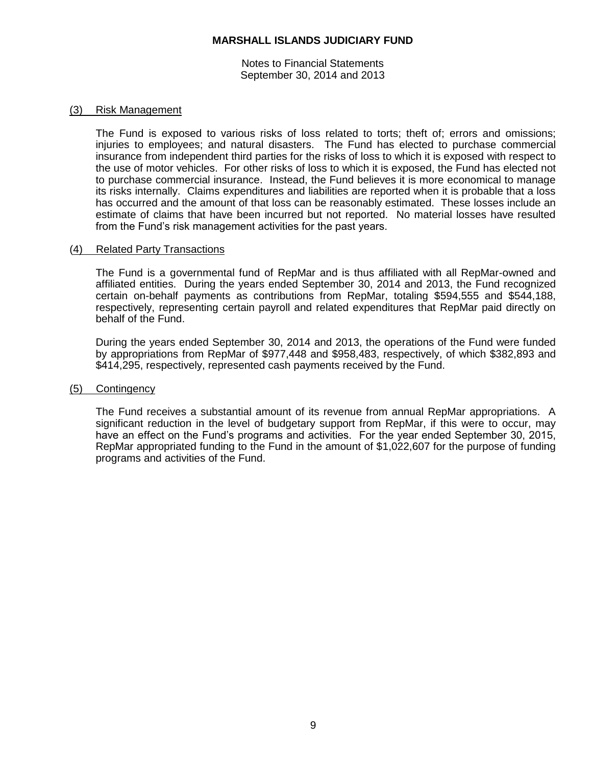Notes to Financial Statements September 30, 2014 and 2013

#### (3) Risk Management

The Fund is exposed to various risks of loss related to torts; theft of; errors and omissions; injuries to employees; and natural disasters. The Fund has elected to purchase commercial insurance from independent third parties for the risks of loss to which it is exposed with respect to the use of motor vehicles. For other risks of loss to which it is exposed, the Fund has elected not to purchase commercial insurance. Instead, the Fund believes it is more economical to manage its risks internally. Claims expenditures and liabilities are reported when it is probable that a loss has occurred and the amount of that loss can be reasonably estimated. These losses include an estimate of claims that have been incurred but not reported. No material losses have resulted from the Fund's risk management activities for the past years.

#### (4) Related Party Transactions

The Fund is a governmental fund of RepMar and is thus affiliated with all RepMar-owned and affiliated entities. During the years ended September 30, 2014 and 2013, the Fund recognized certain on-behalf payments as contributions from RepMar, totaling \$594,555 and \$544,188, respectively, representing certain payroll and related expenditures that RepMar paid directly on behalf of the Fund.

During the years ended September 30, 2014 and 2013, the operations of the Fund were funded by appropriations from RepMar of \$977,448 and \$958,483, respectively, of which \$382,893 and \$414,295, respectively, represented cash payments received by the Fund.

#### (5) Contingency

The Fund receives a substantial amount of its revenue from annual RepMar appropriations. A significant reduction in the level of budgetary support from RepMar, if this were to occur, may have an effect on the Fund's programs and activities. For the year ended September 30, 2015, RepMar appropriated funding to the Fund in the amount of \$1,022,607 for the purpose of funding programs and activities of the Fund.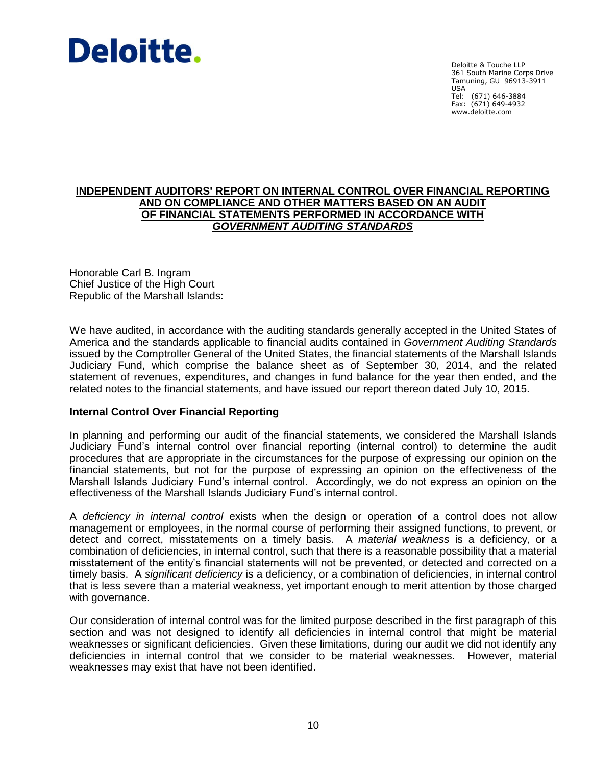# Deloitte.

Deloitte & Touche LLP 361 South Marine Corps Drive Tamuning, GU 96913-3911 USA Tel: (671) 646-3884 Fax: (671) 649-4932 www.deloitte.com

## **INDEPENDENT AUDITORS' REPORT ON INTERNAL CONTROL OVER FINANCIAL REPORTING AND ON COMPLIANCE AND OTHER MATTERS BASED ON AN AUDIT OF FINANCIAL STATEMENTS PERFORMED IN ACCORDANCE WITH** *GOVERNMENT AUDITING STANDARDS*

Honorable Carl B. Ingram Chief Justice of the High Court Republic of the Marshall Islands:

We have audited, in accordance with the auditing standards generally accepted in the United States of America and the standards applicable to financial audits contained in *Government Auditing Standards* issued by the Comptroller General of the United States, the financial statements of the Marshall Islands Judiciary Fund, which comprise the balance sheet as of September 30, 2014, and the related statement of revenues, expenditures, and changes in fund balance for the year then ended, and the related notes to the financial statements, and have issued our report thereon dated July 10, 2015.

## **Internal Control Over Financial Reporting**

In planning and performing our audit of the financial statements, we considered the Marshall Islands Judiciary Fund's internal control over financial reporting (internal control) to determine the audit procedures that are appropriate in the circumstances for the purpose of expressing our opinion on the financial statements, but not for the purpose of expressing an opinion on the effectiveness of the Marshall Islands Judiciary Fund's internal control. Accordingly, we do not express an opinion on the effectiveness of the Marshall Islands Judiciary Fund's internal control.

A *deficiency in internal control* exists when the design or operation of a control does not allow management or employees, in the normal course of performing their assigned functions, to prevent, or detect and correct, misstatements on a timely basis. A *material weakness* is a deficiency, or a combination of deficiencies, in internal control, such that there is a reasonable possibility that a material misstatement of the entity's financial statements will not be prevented, or detected and corrected on a timely basis. A *significant deficiency* is a deficiency, or a combination of deficiencies, in internal control that is less severe than a material weakness, yet important enough to merit attention by those charged with governance.

Our consideration of internal control was for the limited purpose described in the first paragraph of this section and was not designed to identify all deficiencies in internal control that might be material weaknesses or significant deficiencies. Given these limitations, during our audit we did not identify any deficiencies in internal control that we consider to be material weaknesses. However, material weaknesses may exist that have not been identified.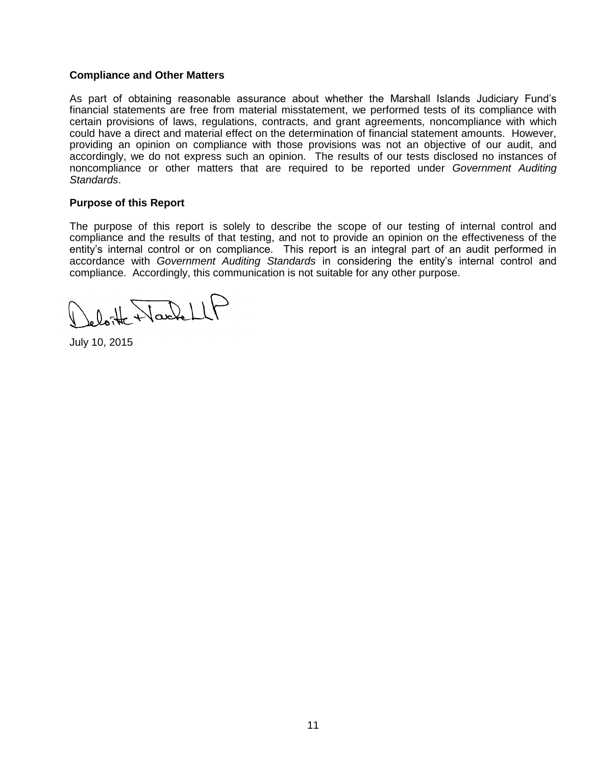## **Compliance and Other Matters**

As part of obtaining reasonable assurance about whether the Marshall Islands Judiciary Fund's financial statements are free from material misstatement, we performed tests of its compliance with certain provisions of laws, regulations, contracts, and grant agreements, noncompliance with which could have a direct and material effect on the determination of financial statement amounts. However, providing an opinion on compliance with those provisions was not an objective of our audit, and accordingly, we do not express such an opinion. The results of our tests disclosed no instances of noncompliance or other matters that are required to be reported under *Government Auditing Standards*.

#### **Purpose of this Report**

The purpose of this report is solely to describe the scope of our testing of internal control and compliance and the results of that testing, and not to provide an opinion on the effectiveness of the entity's internal control or on compliance. This report is an integral part of an audit performed in accordance with *Government Auditing Standards* in considering the entity's internal control and compliance. Accordingly, this communication is not suitable for any other purpose.

leloitte Nache LLF

July 10, 2015